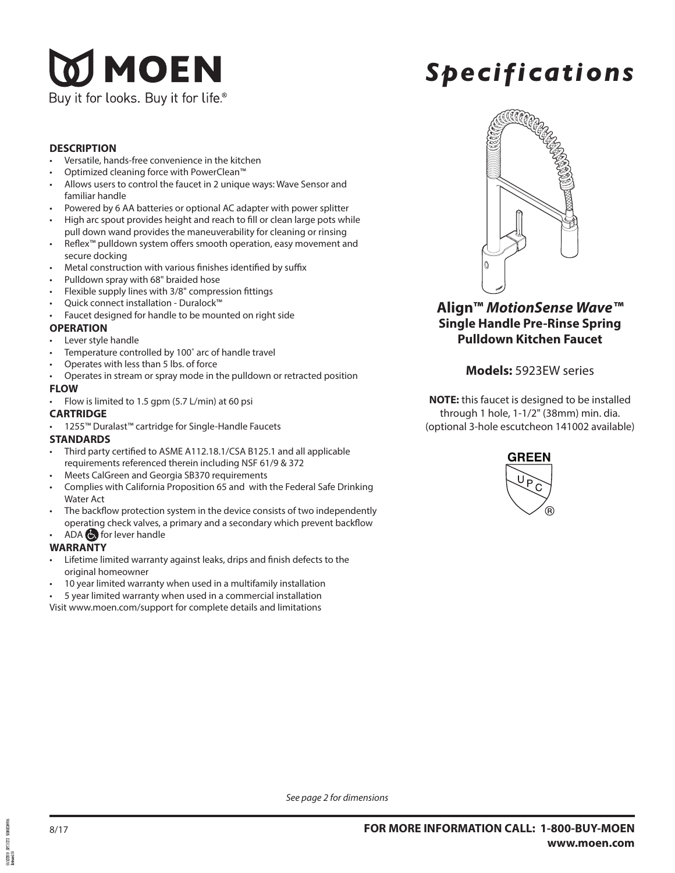# **JMOEN** Buy it for looks. Buy it for life  $^\circ$

# *Specifications*

#### **DESCRIPTION**

- Versatile, hands-free convenience in the kitchen
- Optimized cleaning force with PowerClean™
- Allows users to control the faucet in 2 unique ways: Wave Sensor and familiar handle
- Powered by 6 AA batteries or optional AC adapter with power splitter
- High arc spout provides height and reach to fill or clean large pots while pull down wand provides the maneuverability for cleaning or rinsing
- Reflex™ pulldown system offers smooth operation, easy movement and secure docking
- Metal construction with various finishes identified by suffix
- Pulldown spray with 68" braided hose
- Flexible supply lines with 3/8" compression fittings
- Quick connect installation Duralock™
- Faucet designed for handle to be mounted on right side

#### **OPERATION**

- Lever style handle
- Temperature controlled by 100° arc of handle travel
- Operates with less than 5 lbs. of force
- Operates in stream or spray mode in the pulldown or retracted position

#### **FLOW**

• Flow is limited to 1.5 gpm (5.7 L/min) at 60 psi

#### **CARTRIDGE**

• 1255™ Duralast™ cartridge for Single-Handle Faucets

#### **STANDARDS**

- Third party certified to ASME A112.18.1/CSA B125.1 and all applicable requirements referenced therein including NSF 61/9 & 372
- Meets CalGreen and Georgia SB370 requirements
- Complies with California Proposition 65 and with the Federal Safe Drinking Water Act
- The backflow protection system in the device consists of two independently operating check valves, a primary and a secondary which prevent backflow
- ADA **b** for lever handle

#### **WARRANTY**

- Lifetime limited warranty against leaks, drips and finish defects to the original homeowner
- 10 year limited warranty when used in a multifamily installation
- 5 year limited warranty when used in a commercial installation

Visit www.moen.com/support for complete details and limitations



**Align™** *MotionSense Wave™* **Single Handle Pre-Rinse Spring Pulldown Kitchen Faucet**

### **Models:** 5923EW series

**NOTE:** this faucet is designed to be installed through 1 hole, 1-1/2" (38mm) min. dia. (optional 3-hole escutcheon 141002 available)



*See page 2 for dimensions*

 $1002018$